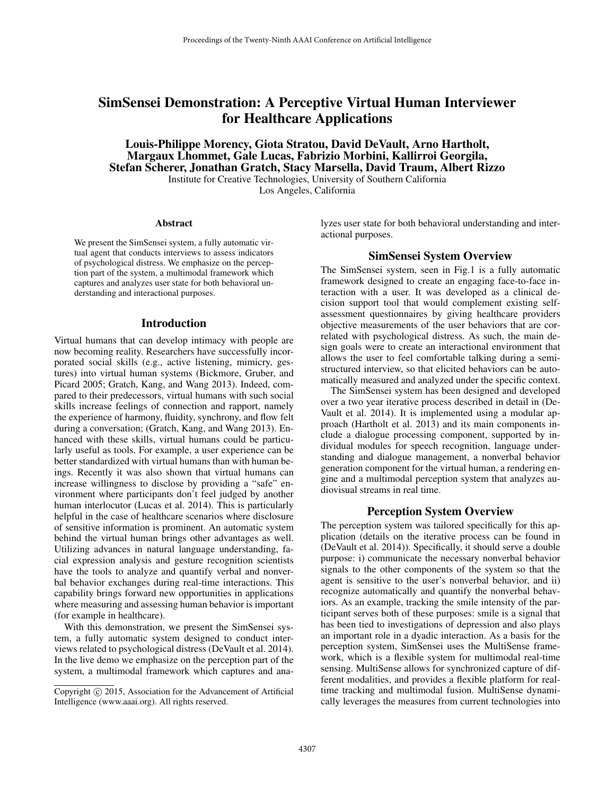# SimSensei Demonstration: A Perceptive Virtual Human Interviewer for Healthcare Applications

Louis-Philippe Morency, Giota Stratou, David DeVault, Arno Hartholt, Margaux Lhommet, Gale Lucas, Fabrizio Morbini, Kallirroi Georgila, Stefan Scherer, Jonathan Gratch, Stacy Marsella, David Traum, Albert Rizzo

Institute for Creative Technologies, University of Southern California Los Angeles, California

#### Abstract

We present the SimSensei system, a fully automatic virtual agent that conducts interviews to assess indicators of psychological distress. We emphasize on the perception part of the system, a multimodal framework which captures and analyzes user state for both behavioral understanding and interactional purposes.

#### Introduction

Virtual humans that can develop intimacy with people are now becoming reality. Researchers have successfully incorporated social skills (e.g., active listening, mimicry, gestures) into virtual human systems (Bickmore, Gruber, and Picard 2005; Gratch, Kang, and Wang 2013). Indeed, compared to their predecessors, virtual humans with such social skills increase feelings of connection and rapport, namely the experience of harmony, fluidity, synchrony, and flow felt during a conversation; (Gratch, Kang, and Wang 2013). Enhanced with these skills, virtual humans could be particularly useful as tools. For example, a user experience can be better standardized with virtual humans than with human beings. Recently it was also shown that virtual humans can increase willingness to disclose by providing a "safe" environment where participants don't feel judged by another human interlocutor (Lucas et al. 2014). This is particularly helpful in the case of healthcare scenarios where disclosure of sensitive information is prominent. An automatic system behind the virtual human brings other advantages as well. Utilizing advances in natural language understanding, facial expression analysis and gesture recognition scientists have the tools to analyze and quantify verbal and nonverbal behavior exchanges during real-time interactions. This capability brings forward new opportunities in applications where measuring and assessing human behavior is important (for example in healthcare).

With this demonstration, we present the SimSensei system, a fully automatic system designed to conduct interviews related to psychological distress (DeVault et al. 2014). In the live demo we emphasize on the perception part of the system, a multimodal framework which captures and analyzes user state for both behavioral understanding and interactional purposes.

### SimSensei System Overview

The SimSensei system, seen in Fig.1 is a fully automatic framework designed to create an engaging face-to-face interaction with a user. It was developed as a clinical decision support tool that would complement existing selfassessment questionnaires by giving healthcare providers objective measurements of the user behaviors that are correlated with psychological distress. As such, the main design goals were to create an interactional environment that allows the user to feel comfortable talking during a semistructured interview, so that elicited behaviors can be automatically measured and analyzed under the specific context.

The SimSensei system has been designed and developed over a two year iterative process described in detail in (De-Vault et al. 2014). It is implemented using a modular approach (Hartholt et al. 2013) and its main components include a dialogue processing component, supported by individual modules for speech recognition, language understanding and dialogue management, a nonverbal behavior generation component for the virtual human, a rendering engine and a multimodal perception system that analyzes audiovisual streams in real time.

#### Perception System Overview

The perception system was tailored specifically for this application (details on the iterative process can be found in (DeVault et al. 2014)). Specifically, it should serve a double purpose: i) communicate the necessary nonverbal behavior signals to the other components of the system so that the agent is sensitive to the user's nonverbal behavior, and ii) recognize automatically and quantify the nonverbal behaviors. As an example, tracking the smile intensity of the participant serves both of these purposes: smile is a signal that has been tied to investigations of depression and also plays an important role in a dyadic interaction. As a basis for the perception system, SimSensei uses the MultiSense framework, which is a flexible system for multimodal real-time sensing. MultiSense allows for synchronized capture of different modalities, and provides a flexible platform for realtime tracking and multimodal fusion. MultiSense dynamically leverages the measures from current technologies into

Copyright © 2015, Association for the Advancement of Artificial Intelligence (www.aaai.org). All rights reserved.